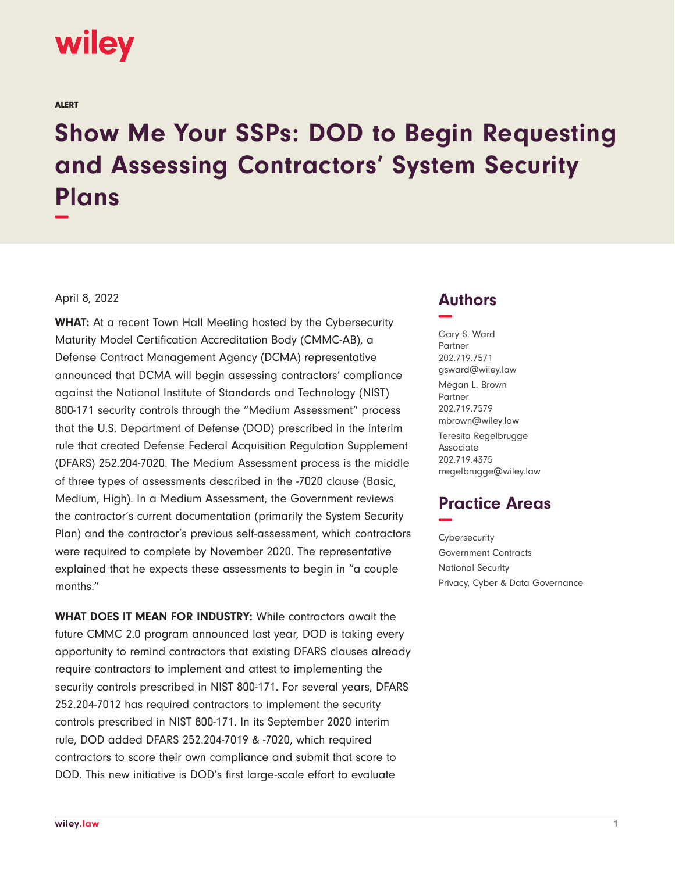

ALERT

## **Show Me Your SSPs: DOD to Begin Requesting and Assessing Contractors' System Security Plans −**

## April 8, 2022

**WHAT:** At a recent Town Hall Meeting hosted by the Cybersecurity Maturity Model Certification Accreditation Body (CMMC-AB), a Defense Contract Management Agency (DCMA) representative announced that DCMA will begin assessing contractors' compliance against the National Institute of Standards and Technology (NIST) 800-171 security controls through the "Medium Assessment" process that the U.S. Department of Defense (DOD) prescribed in the interim rule that created Defense Federal Acquisition Regulation Supplement (DFARS) 252.204-7020. The Medium Assessment process is the middle of three types of assessments described in the -7020 clause (Basic, Medium, High). In a Medium Assessment, the Government reviews the contractor's current documentation (primarily the System Security Plan) and the contractor's previous self-assessment, which contractors were required to complete by November 2020. The representative explained that he expects these assessments to begin in "a couple months."

**WHAT DOES IT MEAN FOR INDUSTRY:** While contractors await the future CMMC 2.0 program announced last year, DOD is taking every opportunity to remind contractors that existing DFARS clauses already require contractors to implement and attest to implementing the security controls prescribed in NIST 800-171. For several years, DFARS 252.204-7012 has required contractors to implement the security controls prescribed in NIST 800-171. In its September 2020 interim rule, DOD added DFARS 252.204-7019 & -7020, which required contractors to score their own compliance and submit that score to DOD. This new initiative is DOD's first large-scale effort to evaluate

## **Authors −**

Gary S. Ward Partner 202.719.7571 gsward@wiley.law Megan L. Brown Partner 202.719.7579 mbrown@wiley.law

Teresita Regelbrugge Associate 202.719.4375 rregelbrugge@wiley.law

## **Practice Areas −**

**Cybersecurity** Government Contracts National Security Privacy, Cyber & Data Governance